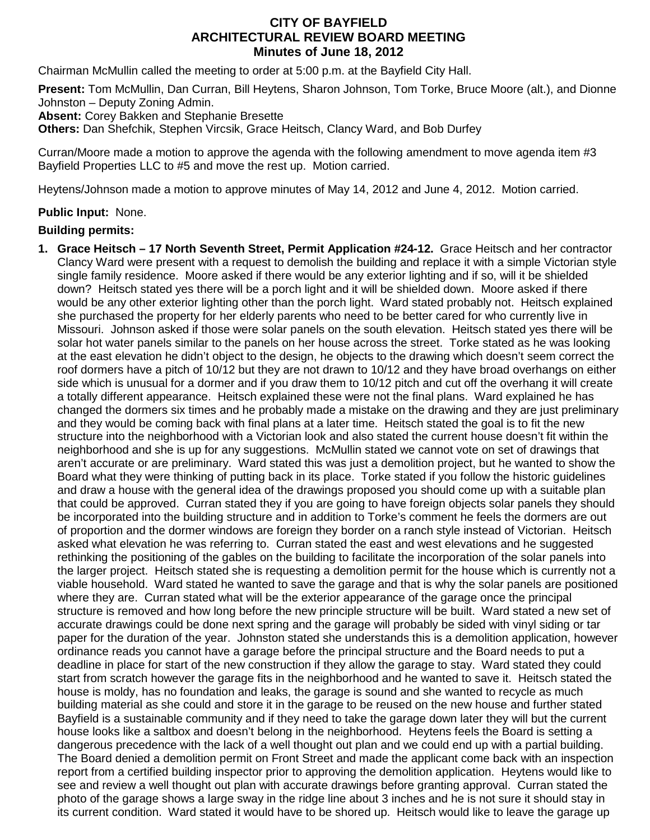## **CITY OF BAYFIELD ARCHITECTURAL REVIEW BOARD MEETING Minutes of June 18, 2012**

Chairman McMullin called the meeting to order at 5:00 p.m. at the Bayfield City Hall.

**Present:** Tom McMullin, Dan Curran, Bill Heytens, Sharon Johnson, Tom Torke, Bruce Moore (alt.), and Dionne Johnston – Deputy Zoning Admin.

**Absent:** Corey Bakken and Stephanie Bresette

**Others:** Dan Shefchik, Stephen Vircsik, Grace Heitsch, Clancy Ward, and Bob Durfey

Curran/Moore made a motion to approve the agenda with the following amendment to move agenda item #3 Bayfield Properties LLC to #5 and move the rest up. Motion carried.

Heytens/Johnson made a motion to approve minutes of May 14, 2012 and June 4, 2012. Motion carried.

## **Public Input:** None.

## **Building permits:**

**1. Grace Heitsch – 17 North Seventh Street, Permit Application #24-12.** Grace Heitsch and her contractor Clancy Ward were present with a request to demolish the building and replace it with a simple Victorian style single family residence. Moore asked if there would be any exterior lighting and if so, will it be shielded down? Heitsch stated yes there will be a porch light and it will be shielded down. Moore asked if there would be any other exterior lighting other than the porch light. Ward stated probably not. Heitsch explained she purchased the property for her elderly parents who need to be better cared for who currently live in Missouri. Johnson asked if those were solar panels on the south elevation. Heitsch stated yes there will be solar hot water panels similar to the panels on her house across the street. Torke stated as he was looking at the east elevation he didn't object to the design, he objects to the drawing which doesn't seem correct the roof dormers have a pitch of 10/12 but they are not drawn to 10/12 and they have broad overhangs on either side which is unusual for a dormer and if you draw them to 10/12 pitch and cut off the overhang it will create a totally different appearance. Heitsch explained these were not the final plans. Ward explained he has changed the dormers six times and he probably made a mistake on the drawing and they are just preliminary and they would be coming back with final plans at a later time. Heitsch stated the goal is to fit the new structure into the neighborhood with a Victorian look and also stated the current house doesn't fit within the neighborhood and she is up for any suggestions. McMullin stated we cannot vote on set of drawings that aren't accurate or are preliminary. Ward stated this was just a demolition project, but he wanted to show the Board what they were thinking of putting back in its place. Torke stated if you follow the historic guidelines and draw a house with the general idea of the drawings proposed you should come up with a suitable plan that could be approved. Curran stated they if you are going to have foreign objects solar panels they should be incorporated into the building structure and in addition to Torke's comment he feels the dormers are out of proportion and the dormer windows are foreign they border on a ranch style instead of Victorian. Heitsch asked what elevation he was referring to. Curran stated the east and west elevations and he suggested rethinking the positioning of the gables on the building to facilitate the incorporation of the solar panels into the larger project. Heitsch stated she is requesting a demolition permit for the house which is currently not a viable household. Ward stated he wanted to save the garage and that is why the solar panels are positioned where they are. Curran stated what will be the exterior appearance of the garage once the principal structure is removed and how long before the new principle structure will be built. Ward stated a new set of accurate drawings could be done next spring and the garage will probably be sided with vinyl siding or tar paper for the duration of the year. Johnston stated she understands this is a demolition application, however ordinance reads you cannot have a garage before the principal structure and the Board needs to put a deadline in place for start of the new construction if they allow the garage to stay. Ward stated they could start from scratch however the garage fits in the neighborhood and he wanted to save it. Heitsch stated the house is moldy, has no foundation and leaks, the garage is sound and she wanted to recycle as much building material as she could and store it in the garage to be reused on the new house and further stated Bayfield is a sustainable community and if they need to take the garage down later they will but the current house looks like a saltbox and doesn't belong in the neighborhood. Heytens feels the Board is setting a dangerous precedence with the lack of a well thought out plan and we could end up with a partial building. The Board denied a demolition permit on Front Street and made the applicant come back with an inspection report from a certified building inspector prior to approving the demolition application. Heytens would like to see and review a well thought out plan with accurate drawings before granting approval. Curran stated the photo of the garage shows a large sway in the ridge line about 3 inches and he is not sure it should stay in its current condition. Ward stated it would have to be shored up. Heitsch would like to leave the garage up